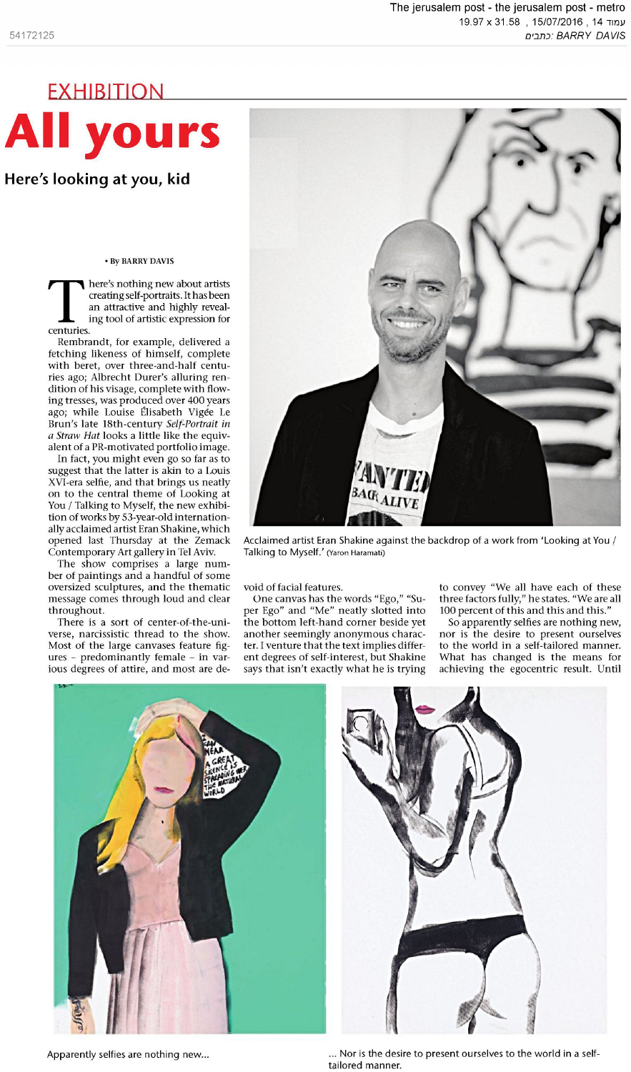## **EXHIBITION** All yours

## **Here's looking at you, kid**

• By BARRY DAVIS

here's nothing new about artists creating self-portraits. It hasbeen an attractive and highlv revealing tool of artistic expression for centuries.

Rembrandt, for example, delivered a fetching likeness of himself, complete with beret, over three-and-half centuries ago; Albrecht Durer's alluring rendition of his visage, complete with flowing tresses, was produced over 400 years ago; while Louise Élisabeth Vigée Le Brun's late 18th-century *Self-Portrait in a Straw Hat* looks a little like the equivalent of a PR-motivated portfolio image.

In fact, you might even go so far as to suggest that the latter is akin to a Louis XVL-era selfie, and that brings us neatly on to the central theme of Looking at You / Talking to Myself, the new exhibition of works by 53-year-old internationally acclaimed artist Eran Shakine, which opened last Thursday at the Zemack Contemporary Art gallery in Tel Aviv.

The show comprises a large numher of paintings and a handful of some oversized sculptures, and the thematic message comes through loud and clear throughout.

There is a sort of center-of-the-universe, narcissistic thread to the show. Most of the large canvases feature figures - predominantly female - in various degrees of attire, and most are de



Acclaimed artist Eran Shakine against the backdrop of a work from 'Looking at You / Talking to Myself.' (Yaron Haramati)

## void of facial features.

One canvas has the words "Ego," "Super Ego" and "Me" neatly slotted into the bottom left-hand corner beside yet another seemingly anonymous character. I venture that the text implies different degrees of self-interest, but Shakine says that isn't exactly what he is trying to convey "We all have each of these three factors fully," he states. "We are all 100 percent of this and this and this."

So apparently selfies are nothing new, nor is the desire to present ourselves to the world in a self-tailored manner. What has changed is the means for achieving the egocentric result. Until